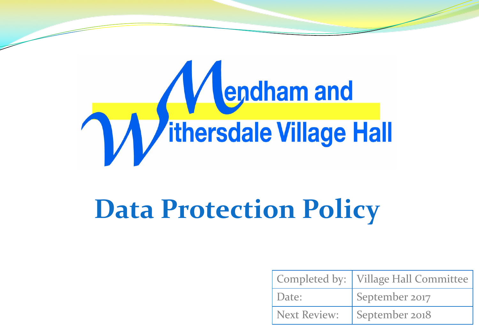

## **Data Protection Policy**

|              | Completed by:   Village Hall Committee |
|--------------|----------------------------------------|
| Date:        | September 2017                         |
| Next Review: | September 2018                         |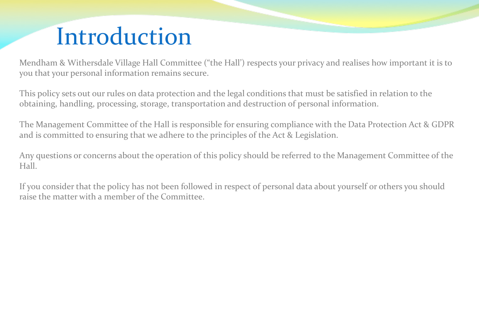## Introduction

Mendham & Withersdale Village Hall Committee ("the Hall') respects your privacy and realises how important it is to you that your personal information remains secure.

This policy sets out our rules on data protection and the legal conditions that must be satisfied in relation to the obtaining, handling, processing, storage, transportation and destruction of personal information.

The Management Committee of the Hall is responsible for ensuring compliance with the Data Protection Act & GDPR and is committed to ensuring that we adhere to the principles of the Act & Legislation.

Any questions or concerns about the operation of this policy should be referred to the Management Committee of the Hall.

If you consider that the policy has not been followed in respect of personal data about yourself or others you should raise the matter with a member of the Committee.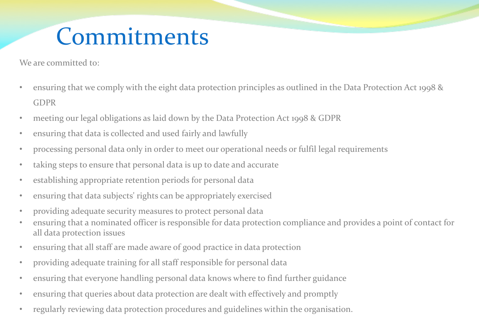## Commitments

We are committed to:

- ensuring that we comply with the eight data protection principles as outlined in the Data Protection Act 1998 & GDPR
- meeting our legal obligations as laid down by the Data Protection Act 1998 & GDPR
- ensuring that data is collected and used fairly and lawfully
- processing personal data only in order to meet our operational needs or fulfil legal requirements
- taking steps to ensure that personal data is up to date and accurate
- establishing appropriate retention periods for personal data
- ensuring that data subjects' rights can be appropriately exercised
- providing adequate security measures to protect personal data
- ensuring that a nominated officer is responsible for data protection compliance and provides a point of contact for all data protection issues
- ensuring that all staff are made aware of good practice in data protection
- providing adequate training for all staff responsible for personal data
- ensuring that everyone handling personal data knows where to find further guidance
- ensuring that queries about data protection are dealt with effectively and promptly
- regularly reviewing data protection procedures and guidelines within the organisation.